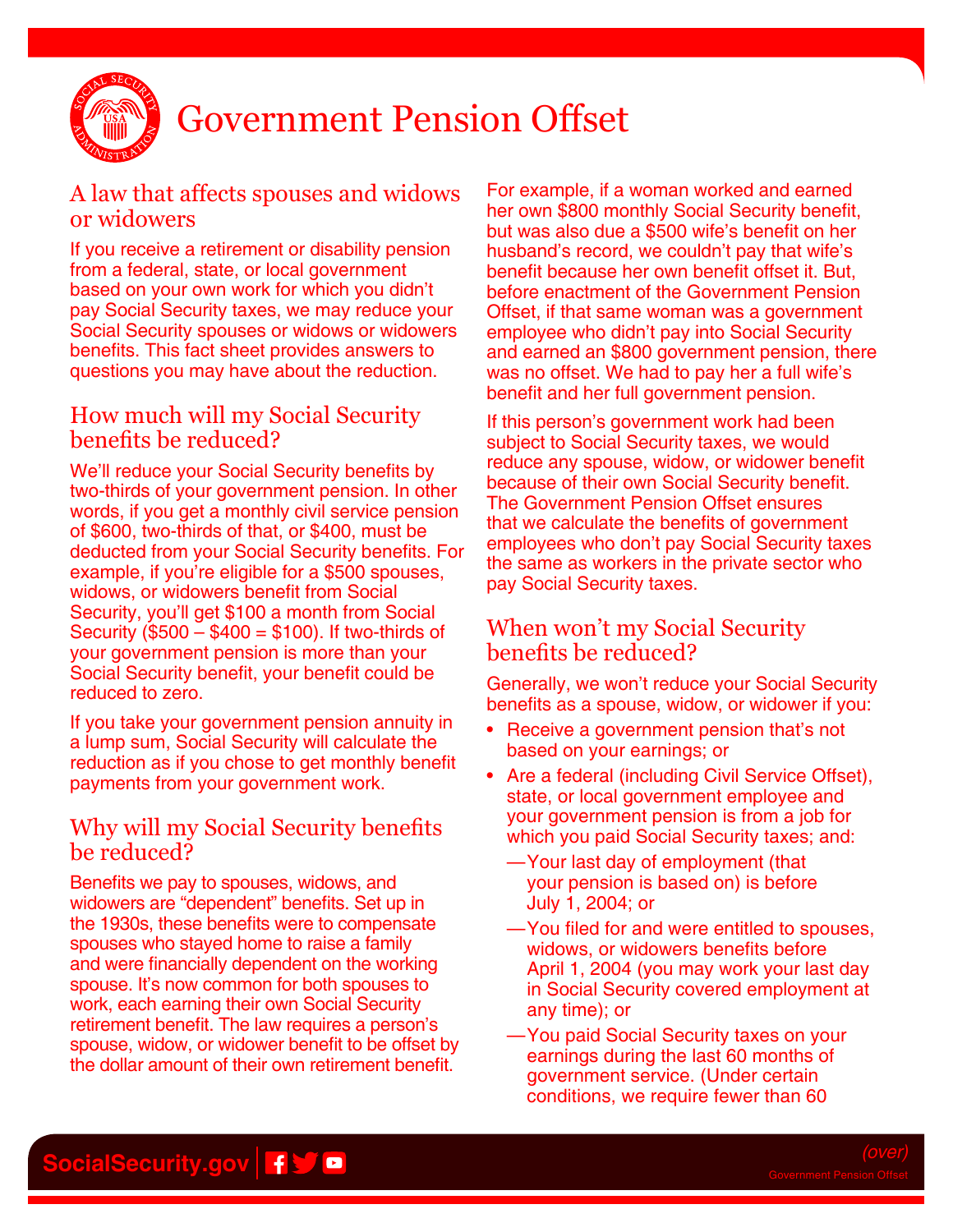

# Government Pension Offset

#### A law that affects spouses and widows or widowers

If you receive a retirement or disability pension from a federal, state, or local government based on your own work for which you didn't pay Social Security taxes, we may reduce your Social Security spouses or widows or widowers benefits. This fact sheet provides answers to questions you may have about the reduction.

#### How much will my Social Security benefits be reduced?

We'll reduce your Social Security benefits by two-thirds of your government pension. In other words, if you get a monthly civil service pension of \$600, two-thirds of that, or \$400, must be deducted from your Social Security benefits. For example, if you're eligible for a \$500 spouses, widows, or widowers benefit from Social Security, you'll get \$100 a month from Social Security (\$500 – \$400 = \$100). If two-thirds of your government pension is more than your Social Security benefit, your benefit could be reduced to zero.

If you take your government pension annuity in a lump sum, Social Security will calculate the reduction as if you chose to get monthly benefit payments from your government work.

#### Why will my Social Security benefits be reduced?

Benefits we pay to spouses, widows, and widowers are "dependent" benefits. Set up in the 1930s, these benefits were to compensate spouses who stayed home to raise a family and were financially dependent on the working spouse. It's now common for both spouses to work, each earning their own Social Security retirement benefit. The law requires a person's spouse, widow, or widower benefit to be offset by the dollar amount of their own retirement benefit.

For example, if a woman worked and earned her own \$800 monthly Social Security benefit, but was also due a \$500 wife's benefit on her husband's record, we couldn't pay that wife's benefit because her own benefit offset it. But, before enactment of the Government Pension Offset, if that same woman was a government employee who didn't pay into Social Security and earned an \$800 government pension, there was no offset. We had to pay her a full wife's benefit and her full government pension.

If this person's government work had been subject to Social Security taxes, we would reduce any spouse, widow, or widower benefit because of their own Social Security benefit. The Government Pension Offset ensures that we calculate the benefits of government employees who don't pay Social Security taxes the same as workers in the private sector who pay Social Security taxes.

### When won't my Social Security benefits be reduced?

Generally, we won't reduce your Social Security benefits as a spouse, widow, or widower if you:

- Receive a government pension that's not based on your earnings; or
- Are a federal (including Civil Service Offset), state, or local government employee and your government pension is from a job for which you paid Social Security taxes; and:
	- —Your last day of employment (that your pension is based on) is before July 1, 2004; or
	- —You filed for and were entitled to spouses, widows, or widowers benefits before April 1, 2004 (you may work your last day in Social Security covered employment at any time); or
	- —You paid Social Security taxes on your earnings during the last 60 months of government service. (Under certain conditions, we require fewer than 60